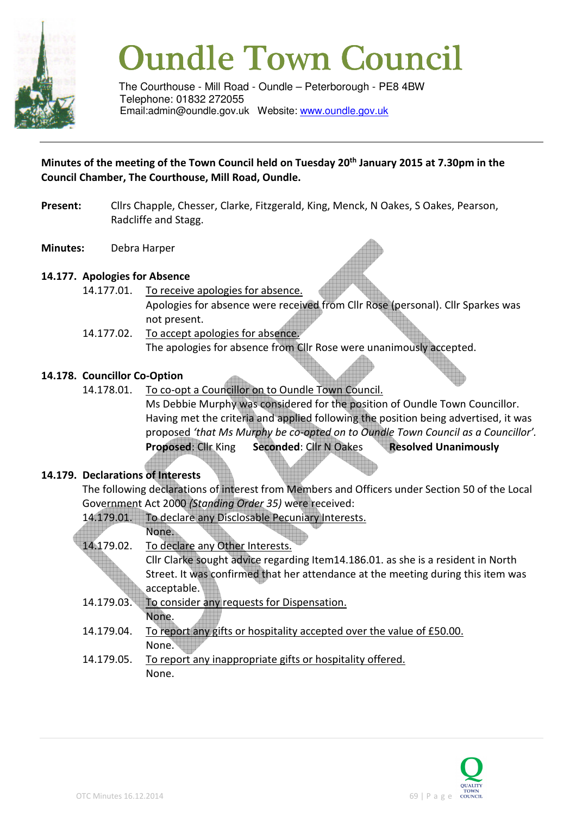

# **Oundle Town Council**

The Courthouse - Mill Road - Oundle – Peterborough - PE8 4BW Telephone: 01832 272055 Email:admin@oundle.gov.uk Website: www.oundle.gov.uk

#### **Minutes of the meeting of the Town Council held on Tuesday 20th January 2015 at 7.30pm in the Council Chamber, The Courthouse, Mill Road, Oundle.**

- Present: Cllrs Chapple, Chesser, Clarke, Fitzgerald, King, Menck, N Oakes, S Oakes, Pearson, Radcliffe and Stagg.
- **Minutes:** Debra Harper

#### **14.177. Apologies for Absence**

- 14.177.01. To receive apologies for absence. Apologies for absence were received from Cllr Rose (personal). Cllr Sparkes was not present.
- 14.177.02. To accept apologies for absence. The apologies for absence from Cllr Rose were unanimously accepted.

#### **14.178. Councillor Co-Option**

14.178.01. To co-opt a Councillor on to Oundle Town Council. Ms Debbie Murphy was considered for the position of Oundle Town Councillor. Having met the criteria and applied following the position being advertised, it was proposed *'that Ms Murphy be co-opted on to Oundle Town Council as a Councillor'.* **Proposed**: Cllr King **Seconded**: Cllr N Oakes **Resolved Unanimously**

#### **14.179. Declarations of Interests**

 The following declarations of interest from Members and Officers under Section 50 of the Local Government Act 2000 *(Standing Order 35)* were received:

| 14.179.01. | To declare any Disclosable Pecuniary Interests.                                  |
|------------|----------------------------------------------------------------------------------|
|            | None.                                                                            |
| 14.179.02. | To declare any Other Interests.                                                  |
|            | Cllr Clarke sought advice regarding Item14.186.01. as she is a resident in North |
|            | Street. It was confirmed that her attendance at the meeting during this item was |
|            | acceptable.                                                                      |
| 14.179.03. | To consider any requests for Dispensation.                                       |
|            | None.                                                                            |
| 14.179.04. | To report any gifts or hospitality accepted over the value of £50.00.            |
|            | None.                                                                            |
| 14.179.05. | To report any inappropriate gifts or hospitality offered.                        |
|            | None.                                                                            |
|            |                                                                                  |

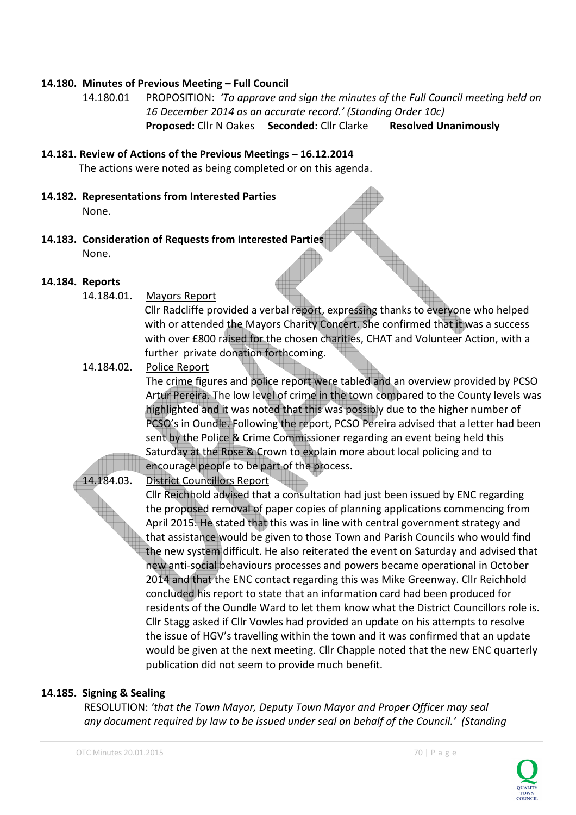#### **14.180. Minutes of Previous Meeting – Full Council**

```
14.180.01 PROPOSITION: 'To approve and sign the minutes of the Full Council meeting held on 
16 December 2014 as an accurate record.' (Standing Order 10c) 
Proposed: Cllr N Oakes Seconded: Cllr Clarke Resolved Unanimously
```
- **14.181. Review of Actions of the Previous Meetings 16.12.2014**  The actions were noted as being completed or on this agenda.
- **14.182. Representations from Interested Parties**  None.
- **14.183. Consideration of Requests from Interested Parties**  None.

#### **14.184. Reports**

14.184.01. Mayors Report

Cllr Radcliffe provided a verbal report, expressing thanks to everyone who helped with or attended the Mayors Charity Concert. She confirmed that it was a success with over £800 raised for the chosen charities, CHAT and Volunteer Action, with a further private donation forthcoming.

14.184.02. Police Report

The crime figures and police report were tabled and an overview provided by PCSO Artur Pereira. The low level of crime in the town compared to the County levels was highlighted and it was noted that this was possibly due to the higher number of PCSO's in Oundle. Following the report, PCSO Pereira advised that a letter had been sent by the Police & Crime Commissioner regarding an event being held this Saturday at the Rose & Crown to explain more about local policing and to encourage people to be part of the process.

14.184.03. District Councillors Report

Cllr Reichhold advised that a consultation had just been issued by ENC regarding the proposed removal of paper copies of planning applications commencing from April 2015. He stated that this was in line with central government strategy and that assistance would be given to those Town and Parish Councils who would find the new system difficult. He also reiterated the event on Saturday and advised that new anti-social behaviours processes and powers became operational in October 2014 and that the ENC contact regarding this was Mike Greenway. Cllr Reichhold concluded his report to state that an information card had been produced for residents of the Oundle Ward to let them know what the District Councillors role is. Cllr Stagg asked if Cllr Vowles had provided an update on his attempts to resolve the issue of HGV's travelling within the town and it was confirmed that an update would be given at the next meeting. Cllr Chapple noted that the new ENC quarterly publication did not seem to provide much benefit.

#### **14.185. Signing & Sealing**

 RESOLUTION: *'that the Town Mayor, Deputy Town Mayor and Proper Officer may seal any document required by law to be issued under seal on behalf of the Council.' (Standing* 

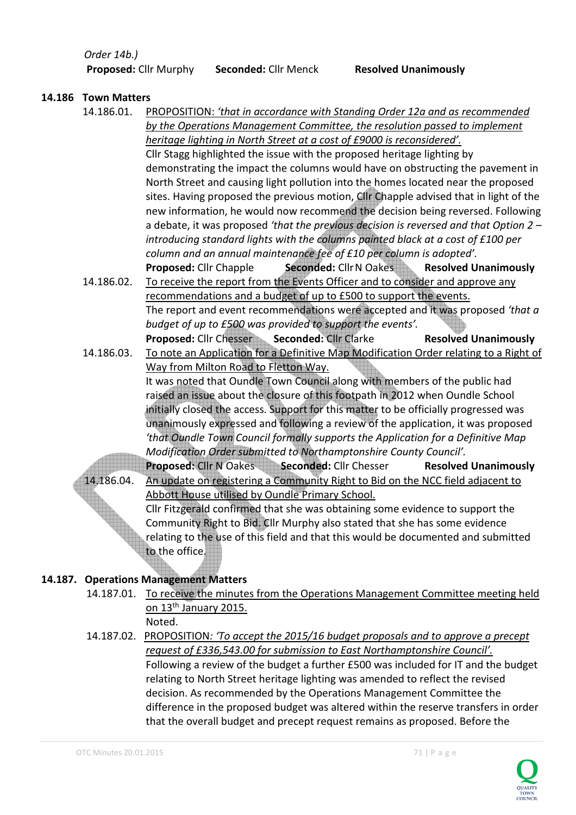*Order 14b.)* 

 **Proposed:** Cllr Murphy **Seconded:** Cllr Menck **Resolved Unanimously** 

#### **14.186 Town Matters**

 14.186.01. PROPOSITION: *'that in accordance with Standing Order 12a and as recommended by the Operations Management Committee, the resolution passed to implement heritage lighting in North Street at a cost of £9000 is reconsidered'.*

Cllr Stagg highlighted the issue with the proposed heritage lighting by demonstrating the impact the columns would have on obstructing the pavement in North Street and causing light pollution into the homes located near the proposed sites. Having proposed the previous motion, Cllr Chapple advised that in light of the new information, he would now recommend the decision being reversed. Following a debate, it was proposed *'that the previous decision is reversed and that Option 2 – introducing standard lights with the columns painted black at a cost of £100 per column and an annual maintenance fee of £10 per column is adopted'.* **Proposed: Cllr Chapple** Seconded: Cllr N Oakes Resolved Unanimously

- 14.186.02. To receive the report from the Events Officer and to consider and approve any recommendations and a budget of up to £500 to support the events. The report and event recommendations were accepted and it was proposed *'that a budget of up to £500 was provided to support the events'.* **Proposed: Cllr Chesser Seconded: Cllr Clarke Resolved Unanimously**
- 14.186.03. To note an Application for a Definitive Map Modification Order relating to a Right of Way from Milton Road to Fletton Way. It was noted that Oundle Town Council along with members of the public had raised an issue about the closure of this footpath in 2012 when Oundle School initially closed the access. Support for this matter to be officially progressed was unanimously expressed and following a review of the application, it was proposed *'that Oundle Town Council formally supports the Application for a Definitive Map Modification Order submitted to Northamptonshire County Council'.*  **Proposed: Cllr N Oakes Seconded: Cllr Chesser Resolved Unanimously**
- 14.186.04. An update on registering a Community Right to Bid on the NCC field adjacent to Abbott House utilised by Oundle Primary School. Cllr Fitzgerald confirmed that she was obtaining some evidence to support the Community Right to Bid. Cllr Murphy also stated that she has some evidence relating to the use of this field and that this would be documented and submitted to the office.

# **14.187. Operations Management Matters**

- 14.187.01. To receive the minutes from the Operations Management Committee meeting held on 13<sup>th</sup> January 2015.
	- Noted.

# 14.187.02. PROPOSITION*: 'To accept the 2015/16 budget proposals and to approve a precept request of £336,543.00 for submission to East Northamptonshire Council'.*

Following a review of the budget a further £500 was included for IT and the budget relating to North Street heritage lighting was amended to reflect the revised decision. As recommended by the Operations Management Committee the difference in the proposed budget was altered within the reserve transfers in order that the overall budget and precept request remains as proposed. Before the

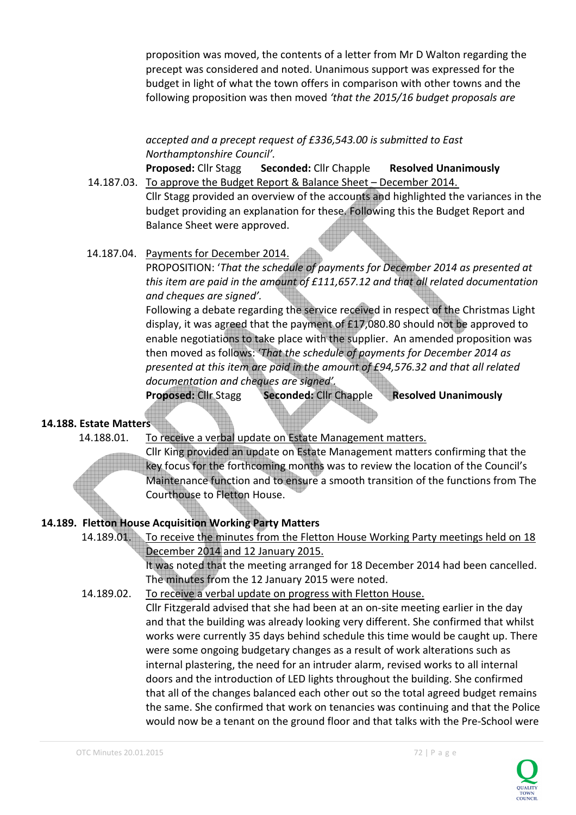proposition was moved, the contents of a letter from Mr D Walton regarding the precept was considered and noted. Unanimous support was expressed for the budget in light of what the town offers in comparison with other towns and the following proposition was then moved *'that the 2015/16 budget proposals are* 

# *accepted and a precept request of £336,543.00 is submitted to East Northamptonshire Council'.*

**Proposed:** Cllr Stagg **Seconded:** Cllr Chapple **Resolved Unanimously** 14.187.03. To approve the Budget Report & Balance Sheet – December 2014.

Cllr Stagg provided an overview of the accounts and highlighted the variances in the budget providing an explanation for these. Following this the Budget Report and Balance Sheet were approved.

 14.187.04. Payments for December 2014. PROPOSITION: '*That the schedule of payments for December 2014 as presented at this item are paid in the amount of £111,657.12 and that all related documentation and cheques are signed'.*

Following a debate regarding the service received in respect of the Christmas Light display, it was agreed that the payment of £17,080.80 should not be approved to enable negotiations to take place with the supplier. An amended proposition was then moved as follows: '*That the schedule of payments for December 2014 as presented at this item are paid in the amount of £94,576.32 and that all related documentation and cheques are signed'.*

**Proposed:** Cllr Stagg **Seconded:** Cllr Chapple **Resolved Unanimously** 

# **14.188. Estate Matters**

l

14.188.01. To receive a verbal update on Estate Management matters.

Cllr King provided an update on Estate Management matters confirming that the key focus for the forthcoming months was to review the location of the Council's Maintenance function and to ensure a smooth transition of the functions from The Courthouse to Fletton House.

# **14.189. Fletton House Acquisition Working Party Matters**

14.189.01. To receive the minutes from the Fletton House Working Party meetings held on 18 December 2014 and 12 January 2015.

It was noted that the meeting arranged for 18 December 2014 had been cancelled. The minutes from the 12 January 2015 were noted.

14.189.02. To receive a verbal update on progress with Fletton House.

Cllr Fitzgerald advised that she had been at an on-site meeting earlier in the day and that the building was already looking very different. She confirmed that whilst works were currently 35 days behind schedule this time would be caught up. There were some ongoing budgetary changes as a result of work alterations such as internal plastering, the need for an intruder alarm, revised works to all internal doors and the introduction of LED lights throughout the building. She confirmed that all of the changes balanced each other out so the total agreed budget remains the same. She confirmed that work on tenancies was continuing and that the Police would now be a tenant on the ground floor and that talks with the Pre-School were

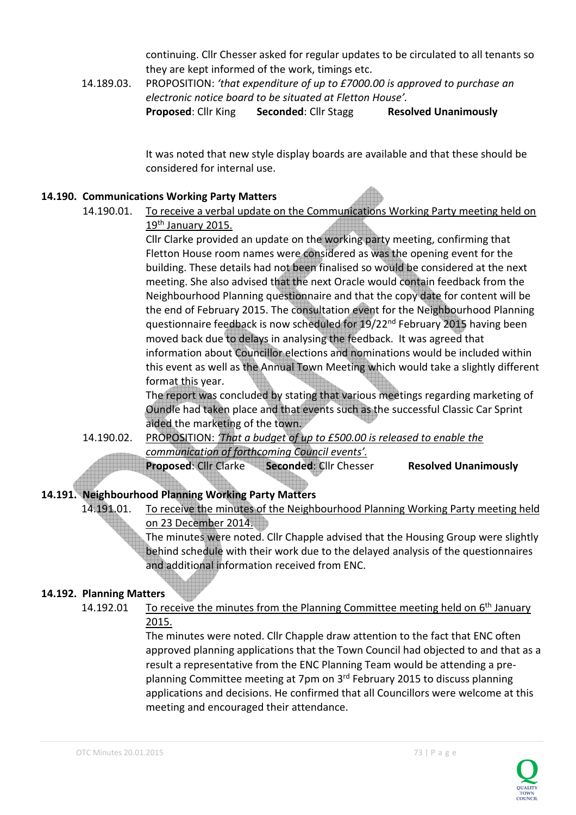continuing. Cllr Chesser asked for regular updates to be circulated to all tenants so they are kept informed of the work, timings etc.

 14.189.03. PROPOSITION: *'that expenditure of up to £7000.00 is approved to purchase an electronic notice board to be situated at Fletton House'.*  **Proposed: Cllr King Seconded: Cllr Stagg Resolved Unanimously** 

> It was noted that new style display boards are available and that these should be considered for internal use.

#### **14.190. Communications Working Party Matters**

 14.190.01. To receive a verbal update on the Communications Working Party meeting held on 19<sup>th</sup> January 2015.

 Cllr Clarke provided an update on the working party meeting, confirming that Fletton House room names were considered as was the opening event for the building. These details had not been finalised so would be considered at the next meeting. She also advised that the next Oracle would contain feedback from the Neighbourhood Planning questionnaire and that the copy date for content will be the end of February 2015. The consultation event for the Neighbourhood Planning questionnaire feedback is now scheduled for 19/22<sup>nd</sup> February 2015 having been moved back due to delays in analysing the feedback. It was agreed that information about Councillor elections and nominations would be included within this event as well as the Annual Town Meeting which would take a slightly different format this year.

 The report was concluded by stating that various meetings regarding marketing of Oundle had taken place and that events such as the successful Classic Car Sprint aided the marketing of the town.

 14.190.02. PROPOSITION: *'That a budget of up to £500.00 is released to enable the communication of forthcoming Council events'.*

**Proposed: Cllr Clarke Seconded: Cllr Chesser Resolved Unanimously** 

# **14.191. Neighbourhood Planning Working Party Matters**

 14.191.01. To receive the minutes of the Neighbourhood Planning Working Party meeting held on 23 December 2014.

 The minutes were noted. Cllr Chapple advised that the Housing Group were slightly behind schedule with their work due to the delayed analysis of the questionnaires and additional information received from ENC.

# **14.192. Planning Matters**

14.192.01 To receive the minutes from the Planning Committee meeting held on  $6<sup>th</sup>$  January 2015.

> The minutes were noted. Cllr Chapple draw attention to the fact that ENC often approved planning applications that the Town Council had objected to and that as a result a representative from the ENC Planning Team would be attending a preplanning Committee meeting at 7pm on 3<sup>rd</sup> February 2015 to discuss planning applications and decisions. He confirmed that all Councillors were welcome at this meeting and encouraged their attendance.

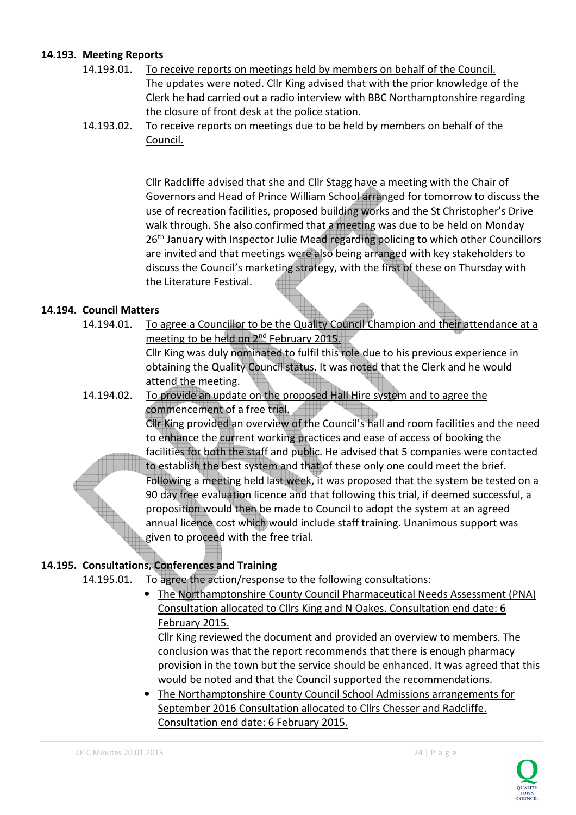#### **14.193. Meeting Reports**

- 14.193.01. To receive reports on meetings held by members on behalf of the Council. The updates were noted. Cllr King advised that with the prior knowledge of the Clerk he had carried out a radio interview with BBC Northamptonshire regarding the closure of front desk at the police station.
- 14.193.02. To receive reports on meetings due to be held by members on behalf of the Council.

 Cllr Radcliffe advised that she and Cllr Stagg have a meeting with the Chair of Governors and Head of Prince William School arranged for tomorrow to discuss the use of recreation facilities, proposed building works and the St Christopher's Drive walk through. She also confirmed that a meeting was due to be held on Monday 26<sup>th</sup> January with Inspector Julie Mead regarding policing to which other Councillors are invited and that meetings were also being arranged with key stakeholders to discuss the Council's marketing strategy, with the first of these on Thursday with the Literature Festival.

#### **14.194. Council Matters**

- 14.194.01. To agree a Councillor to be the Quality Council Champion and their attendance at a meeting to be held on 2nd February 2015. Cllr King was duly nominated to fulfil this role due to his previous experience in obtaining the Quality Council status. It was noted that the Clerk and he would
- 14.194.02. To provide an update on the proposed Hall Hire system and to agree the commencement of a free trial.

Cllr King provided an overview of the Council's hall and room facilities and the need to enhance the current working practices and ease of access of booking the facilities for both the staff and public. He advised that 5 companies were contacted to establish the best system and that of these only one could meet the brief.

Following a meeting held last week, it was proposed that the system be tested on a 90 day free evaluation licence and that following this trial, if deemed successful, a proposition would then be made to Council to adopt the system at an agreed annual licence cost which would include staff training. Unanimous support was given to proceed with the free trial.

# **14.195. Consultations, Conferences and Training**

attend the meeting.

- 14.195.01. To agree the action/response to the following consultations:
	- The Northamptonshire County Council Pharmaceutical Needs Assessment (PNA) Consultation allocated to Cllrs King and N Oakes. Consultation end date: 6 February 2015.

Cllr King reviewed the document and provided an overview to members. The conclusion was that the report recommends that there is enough pharmacy provision in the town but the service should be enhanced. It was agreed that this would be noted and that the Council supported the recommendations.

• The Northamptonshire County Council School Admissions arrangements for September 2016 Consultation allocated to Cllrs Chesser and Radcliffe. Consultation end date: 6 February 2015.